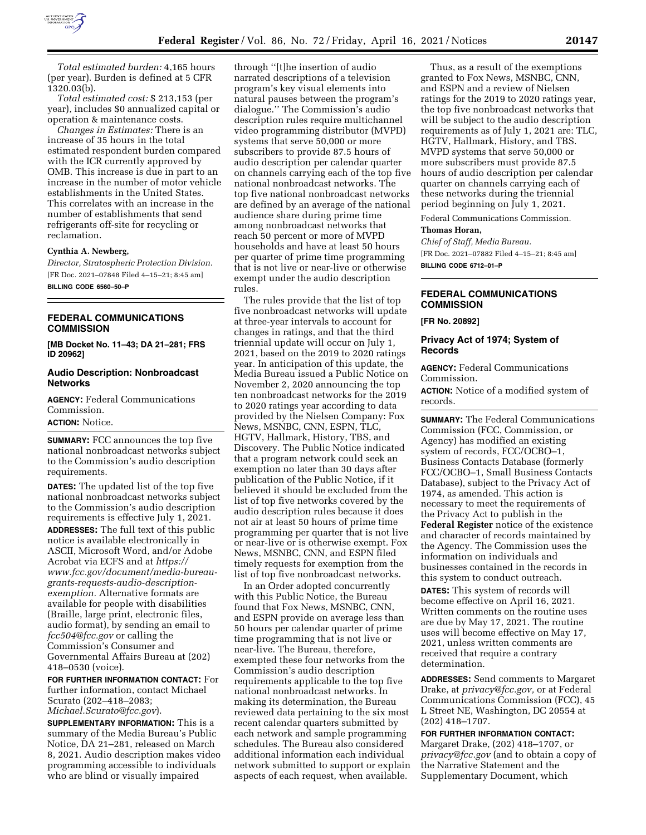

*Total estimated burden:* 4,165 hours (per year). Burden is defined at 5 CFR 1320.03(b).

*Total estimated cost:* \$ 213,153 (per year), includes \$0 annualized capital or operation & maintenance costs.

*Changes in Estimates:* There is an increase of 35 hours in the total estimated respondent burden compared with the ICR currently approved by OMB. This increase is due in part to an increase in the number of motor vehicle establishments in the United States. This correlates with an increase in the number of establishments that send refrigerants off-site for recycling or reclamation.

#### **Cynthia A. Newberg,**

*Director, Stratospheric Protection Division.*  [FR Doc. 2021–07848 Filed 4–15–21; 8:45 am] **BILLING CODE 6560–50–P** 

**FEDERAL COMMUNICATIONS COMMISSION** 

**[MB Docket No. 11–43; DA 21–281; FRS ID 20962]** 

# **Audio Description: Nonbroadcast Networks**

**AGENCY:** Federal Communications Commission. **ACTION:** Notice.

**SUMMARY:** FCC announces the top five national nonbroadcast networks subject to the Commission's audio description requirements.

**DATES:** The updated list of the top five national nonbroadcast networks subject to the Commission's audio description requirements is effective July 1, 2021. **ADDRESSES:** The full text of this public notice is available electronically in ASCII, Microsoft Word, and/or Adobe Acrobat via ECFS and at *https:// www.fcc.gov/document/media-bureaugrants-requests-audio-descriptionexemption.* Alternative formats are available for people with disabilities (Braille, large print, electronic files, audio format), by sending an email to *fcc504@fcc.gov* or calling the Commission's Consumer and Governmental Affairs Bureau at (202) 418–0530 (voice).

**FOR FURTHER INFORMATION CONTACT:** For further information, contact Michael Scurato (202–418–2083; *Michael.Scurato@fcc.gov*).

**SUPPLEMENTARY INFORMATION:** This is a summary of the Media Bureau's Public Notice, DA 21–281, released on March 8, 2021. Audio description makes video programming accessible to individuals who are blind or visually impaired

through ''[t]he insertion of audio narrated descriptions of a television program's key visual elements into natural pauses between the program's dialogue.'' The Commission's audio description rules require multichannel video programming distributor (MVPD) systems that serve 50,000 or more subscribers to provide 87.5 hours of audio description per calendar quarter on channels carrying each of the top five national nonbroadcast networks. The top five national nonbroadcast networks are defined by an average of the national audience share during prime time among nonbroadcast networks that reach 50 percent or more of MVPD households and have at least 50 hours per quarter of prime time programming that is not live or near-live or otherwise exempt under the audio description rules.

The rules provide that the list of top five nonbroadcast networks will update at three-year intervals to account for changes in ratings, and that the third triennial update will occur on July 1, 2021, based on the 2019 to 2020 ratings year. In anticipation of this update, the Media Bureau issued a Public Notice on November 2, 2020 announcing the top ten nonbroadcast networks for the 2019 to 2020 ratings year according to data provided by the Nielsen Company: Fox News, MSNBC, CNN, ESPN, TLC, HGTV, Hallmark, History, TBS, and Discovery. The Public Notice indicated that a program network could seek an exemption no later than 30 days after publication of the Public Notice, if it believed it should be excluded from the list of top five networks covered by the audio description rules because it does not air at least 50 hours of prime time programming per quarter that is not live or near-live or is otherwise exempt. Fox News, MSNBC, CNN, and ESPN filed timely requests for exemption from the list of top five nonbroadcast networks.

In an Order adopted concurrently with this Public Notice, the Bureau found that Fox News, MSNBC, CNN, and ESPN provide on average less than 50 hours per calendar quarter of prime time programming that is not live or near-live. The Bureau, therefore, exempted these four networks from the Commission's audio description requirements applicable to the top five national nonbroadcast networks. In making its determination, the Bureau reviewed data pertaining to the six most recent calendar quarters submitted by each network and sample programming schedules. The Bureau also considered additional information each individual network submitted to support or explain aspects of each request, when available.

Thus, as a result of the exemptions granted to Fox News, MSNBC, CNN, and ESPN and a review of Nielsen ratings for the 2019 to 2020 ratings year, the top five nonbroadcast networks that will be subject to the audio description requirements as of July 1, 2021 are: TLC, HGTV, Hallmark, History, and TBS. MVPD systems that serve 50,000 or more subscribers must provide 87.5 hours of audio description per calendar quarter on channels carrying each of these networks during the triennial period beginning on July 1, 2021.

Federal Communications Commission. **Thomas Horan,** 

*Chief of Staff, Media Bureau.* 

[FR Doc. 2021–07882 Filed 4–15–21; 8:45 am] **BILLING CODE 6712–01–P** 

# **FEDERAL COMMUNICATIONS COMMISSION**

**[FR No. 20892]** 

# **Privacy Act of 1974; System of Records**

**AGENCY:** Federal Communications Commission.

**ACTION:** Notice of a modified system of records.

**SUMMARY:** The Federal Communications Commission (FCC, Commission, or Agency) has modified an existing system of records, FCC/OCBO–1, Business Contacts Database (formerly FCC/OCBO–1, Small Business Contacts Database), subject to the Privacy Act of 1974, as amended. This action is necessary to meet the requirements of the Privacy Act to publish in the **Federal Register** notice of the existence and character of records maintained by the Agency. The Commission uses the information on individuals and businesses contained in the records in this system to conduct outreach.

**DATES:** This system of records will become effective on April 16, 2021. Written comments on the routine uses are due by May 17, 2021. The routine uses will become effective on May 17, 2021, unless written comments are received that require a contrary determination.

**ADDRESSES:** Send comments to Margaret Drake, at *privacy@fcc.gov,* or at Federal Communications Commission (FCC), 45 L Street NE, Washington, DC 20554 at (202) 418–1707.

**FOR FURTHER INFORMATION CONTACT:**  Margaret Drake, (202) 418–1707, or *privacy@fcc.gov* (and to obtain a copy of the Narrative Statement and the Supplementary Document, which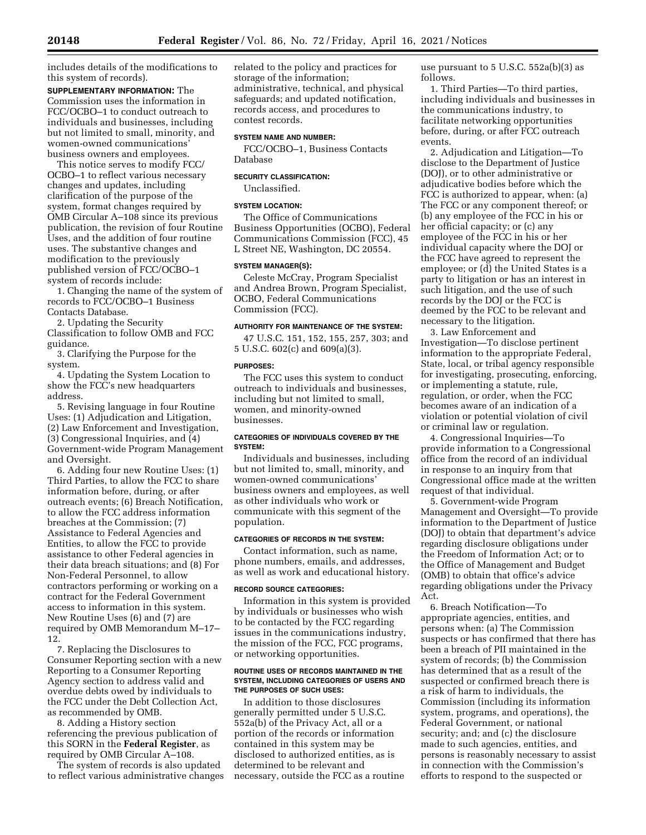includes details of the modifications to this system of records).

**SUPPLEMENTARY INFORMATION:** The Commission uses the information in FCC/OCBO–1 to conduct outreach to individuals and businesses, including but not limited to small, minority, and women-owned communications' business owners and employees.

This notice serves to modify FCC/ OCBO–1 to reflect various necessary changes and updates, including clarification of the purpose of the system, format changes required by OMB Circular A–108 since its previous publication, the revision of four Routine Uses, and the addition of four routine uses. The substantive changes and modification to the previously published version of FCC/OCBO–1 system of records include:

1. Changing the name of the system of records to FCC/OCBO–1 Business Contacts Database.

2. Updating the Security Classification to follow OMB and FCC guidance.

3. Clarifying the Purpose for the system.

4. Updating the System Location to show the FCC's new headquarters address.

5. Revising language in four Routine Uses: (1) Adjudication and Litigation, (2) Law Enforcement and Investigation, (3) Congressional Inquiries, and (4) Government-wide Program Management and Oversight.

6. Adding four new Routine Uses: (1) Third Parties, to allow the FCC to share information before, during, or after outreach events; (6) Breach Notification, to allow the FCC address information breaches at the Commission; (7) Assistance to Federal Agencies and Entities, to allow the FCC to provide assistance to other Federal agencies in their data breach situations; and (8) For Non-Federal Personnel, to allow contractors performing or working on a contract for the Federal Government access to information in this system. New Routine Uses (6) and (7) are required by OMB Memorandum M–17– 12.

7. Replacing the Disclosures to Consumer Reporting section with a new Reporting to a Consumer Reporting Agency section to address valid and overdue debts owed by individuals to the FCC under the Debt Collection Act, as recommended by OMB.

8. Adding a History section referencing the previous publication of this SORN in the **Federal Register**, as required by OMB Circular A–108.

The system of records is also updated to reflect various administrative changes related to the policy and practices for storage of the information; administrative, technical, and physical safeguards; and updated notification, records access, and procedures to contest records.

### **SYSTEM NAME AND NUMBER:**

FCC/OCBO–1, Business Contacts Database

# **SECURITY CLASSIFICATION:**

# Unclassified.

### **SYSTEM LOCATION:**

The Office of Communications Business Opportunities (OCBO), Federal Communications Commission (FCC), 45 L Street NE, Washington, DC 20554.

### **SYSTEM MANAGER(S):**

Celeste McCray, Program Specialist and Andrea Brown, Program Specialist, OCBO, Federal Communications Commission (FCC).

### **AUTHORITY FOR MAINTENANCE OF THE SYSTEM:**

47 U.S.C. 151, 152, 155, 257, 303; and 5 U.S.C. 602(c) and 609(a)(3).

#### **PURPOSES:**

The FCC uses this system to conduct outreach to individuals and businesses, including but not limited to small, women, and minority-owned businesses.

### **CATEGORIES OF INDIVIDUALS COVERED BY THE SYSTEM:**

Individuals and businesses, including but not limited to, small, minority, and women-owned communications' business owners and employees, as well as other individuals who work or communicate with this segment of the population.

### **CATEGORIES OF RECORDS IN THE SYSTEM:**

Contact information, such as name, phone numbers, emails, and addresses, as well as work and educational history.

### **RECORD SOURCE CATEGORIES:**

Information in this system is provided by individuals or businesses who wish to be contacted by the FCC regarding issues in the communications industry, the mission of the FCC, FCC programs, or networking opportunities.

#### **ROUTINE USES OF RECORDS MAINTAINED IN THE SYSTEM, INCLUDING CATEGORIES OF USERS AND THE PURPOSES OF SUCH USES:**

In addition to those disclosures generally permitted under 5 U.S.C. 552a(b) of the Privacy Act, all or a portion of the records or information contained in this system may be disclosed to authorized entities, as is determined to be relevant and necessary, outside the FCC as a routine use pursuant to 5 U.S.C. 552a(b)(3) as follows.

1. Third Parties—To third parties, including individuals and businesses in the communications industry, to facilitate networking opportunities before, during, or after FCC outreach events.

2. Adjudication and Litigation—To disclose to the Department of Justice (DOJ), or to other administrative or adjudicative bodies before which the FCC is authorized to appear, when: (a) The FCC or any component thereof; or (b) any employee of the FCC in his or her official capacity; or (c) any employee of the FCC in his or her individual capacity where the DOJ or the FCC have agreed to represent the employee; or (d) the United States is a party to litigation or has an interest in such litigation, and the use of such records by the DOJ or the FCC is deemed by the FCC to be relevant and necessary to the litigation.

3. Law Enforcement and Investigation—To disclose pertinent information to the appropriate Federal, State, local, or tribal agency responsible for investigating, prosecuting, enforcing, or implementing a statute, rule, regulation, or order, when the FCC becomes aware of an indication of a violation or potential violation of civil or criminal law or regulation.

4. Congressional Inquiries—To provide information to a Congressional office from the record of an individual in response to an inquiry from that Congressional office made at the written request of that individual.

5. Government-wide Program Management and Oversight—To provide information to the Department of Justice (DOJ) to obtain that department's advice regarding disclosure obligations under the Freedom of Information Act; or to the Office of Management and Budget (OMB) to obtain that office's advice regarding obligations under the Privacy Act.

6. Breach Notification—To appropriate agencies, entities, and persons when: (a) The Commission suspects or has confirmed that there has been a breach of PII maintained in the system of records; (b) the Commission has determined that as a result of the suspected or confirmed breach there is a risk of harm to individuals, the Commission (including its information system, programs, and operations), the Federal Government, or national security; and; and (c) the disclosure made to such agencies, entities, and persons is reasonably necessary to assist in connection with the Commission's efforts to respond to the suspected or